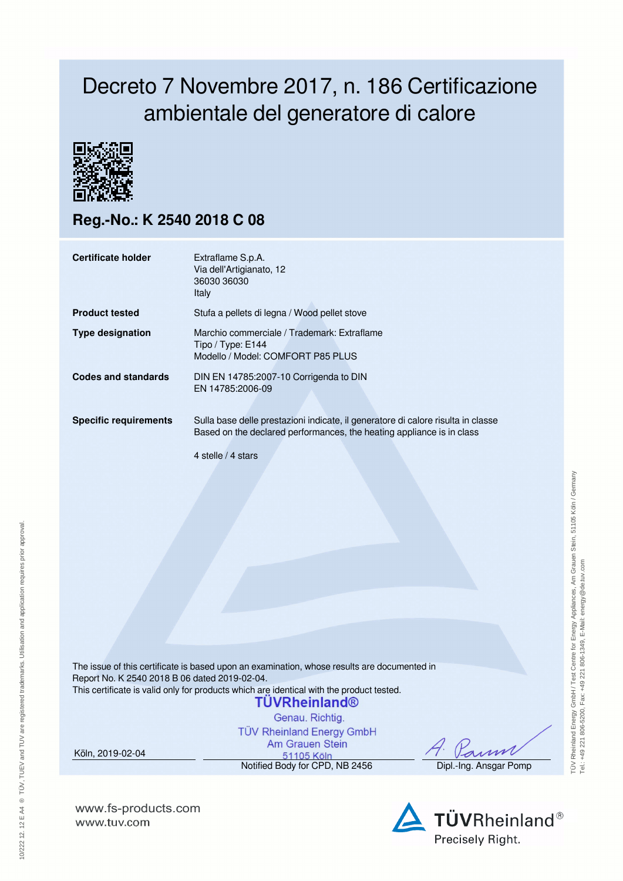## Decreto 7 Novembre 2017, n. 186 Certificazione ambientale del generatore di calore



## **Reg.-No.: K 2540 2018 C 08**

| <b>Certificate holder</b>    | Extraflame S.p.A.<br>Via dell'Artigianato, 12<br>36030 36030<br><b>Italy</b>                                                                                                    |
|------------------------------|---------------------------------------------------------------------------------------------------------------------------------------------------------------------------------|
| <b>Product tested</b>        | Stufa a pellets di legna / Wood pellet stove                                                                                                                                    |
| <b>Type designation</b>      | Marchio commerciale / Trademark: Extraflame<br>Tipo / Type: E144<br>Modello / Model: COMFORT P85 PLUS                                                                           |
| Codes and standards          | DIN EN 14785:2007-10 Corrigenda to DIN<br>EN 14785:2006-09                                                                                                                      |
| <b>Specific requirements</b> | Sulla base delle prestazioni indicate, il generatore di calore risulta in classe<br>Based on the declared performances, the heating appliance is in class<br>4 stelle / 4 stars |

The issue of this certificate is based upon an examination, whose results are documented in Report No. K 2540 2018 B 06 dated 2019-02-04. This certificate is valid only for products which are identical with the product tested.

## **TUVRheinland®**

Genau, Richtig. **TÜV Rheinland Energy GmbH** Am Grauen Stein

Köln, 2019-02-04

10/222 12. 12 E A4 ® TÜV, TUEV and TUV are registered trademarks. Utilisation and application requires prior approval.

10/222 12. 12 E A4 ® TÜV, TUEV and TUV are registered trademarks. Utilisation and application requires prior approval.

51105 Köln Notified Body for CPD, NB 2456 Dipl.-Ing. Ansgar Pomp

**www.fs-products.com** www.tuv.com